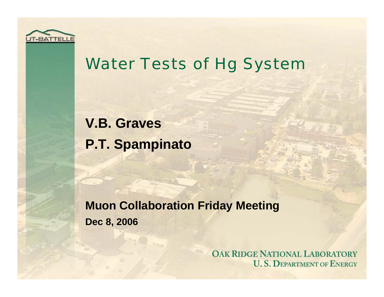

### Water Tests of Hg System

**V.B. Graves P.T. Spampinato**

**Muon Collaboration Friday Meeting Dec 8, 2006**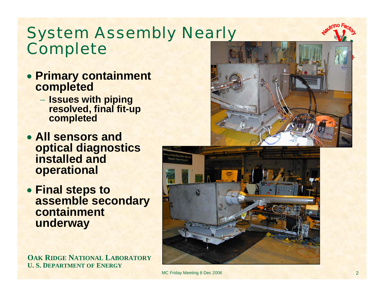## System Assembly Nearly Complete

- **Primary containment completed**
	- **Issues with piping resolved, final fit-up completed**
- **All sensors and optical diagnostics installed and operational**
- **Final steps to assemble secondary containment underway**

**OAK RIDGE NATIONAL LABORATORY U. S. DEPARTMENT OF ENERGY**





MC Friday Meeting 8 Dec 2006 2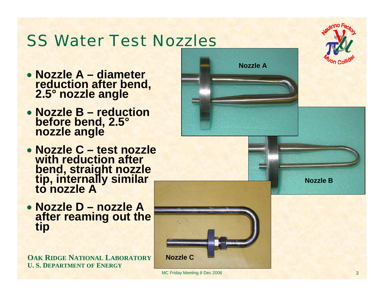# SS Water Test Nozzles

- **Nozzle A – diameter reduction after bend, 2.5° nozzle angle**
- **Nozzle B – reduction before bend, 2.5° nozzle angle**
- **Nozzle C – test nozzle with reduction after**  bend, straight nozzle<br>tip, internally similar<br>to nozzle A
- **Nozzle D – nozzle A after reaming out the tip**

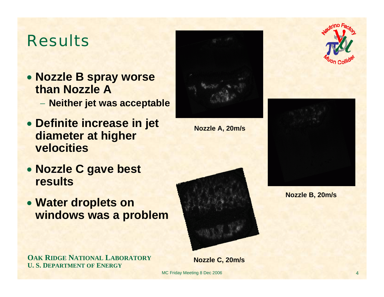### Results

• **Nozzle B spray worse than Nozzle A**

**Neither jet was acceptable**

- **Definite increase in jet diameter at higher velocities**
- **Nozzle C gave best results**
- **Water droplets on windows was a problem**

**OAK RIDGE NATIONAL LABORATORY**

**U. S. DEPARTMENT OF ENERGY**

**Nozzle A, 20m/s**



**Nozzle C, 20m/s**

MC Friday Meeting 8 Dec 2006





**Nozzle B, 20m/s**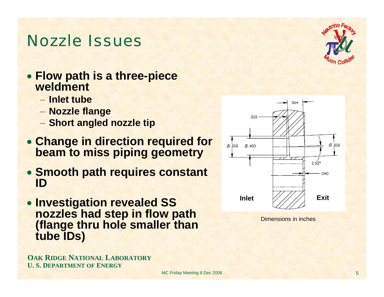#### Nozzle Issues

- **Flow path is a three-piece weldment**
	- − **Inlet tube**
	- **Nozzle flange**
	- **Short angled nozzle tip**
- **Change in direction required for beam to miss piping geometry**
- **Smooth path requires constant ID**
- **Investigation revealed SS nozzles had step in flow path (flange thru hole smaller than tube IDs)**

**OAK RIDGE NATIONAL LABORATORY U. S. DEPARTMENT OF ENERGY**





Dimensions in inches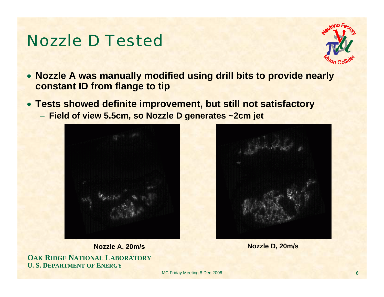#### Nozzle D Tested



- **Nozzle A was manually modified using drill bits to provide nearly constant ID from flange to tip**
- **Tests showed definite improvement, but still not satisfactory**
	- − **Field of view 5.5cm, so Nozzle D generates ~2cm jet**





**Nozzle A, 20m/s Nozzle D, 20m/s**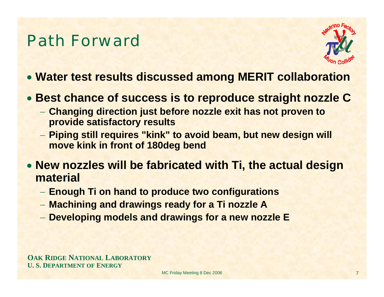### Path Forward



- **Water test results discussed among MERIT collaboration**
- **Best chance of success is to reproduce straight nozzle C**
	- **Changing direction just before nozzle exit has not proven to provide satisfactory results**
	- **Piping still requires "kink" to avoid beam, but new design will move kink in front of 180deg bend**
- **New nozzles will be fabricated with Ti, the actual design material**
	- **Enough Ti on hand to produce two configurations**
	- **Machining and drawings ready for a Ti nozzle A**
	- **Developing models and drawings for a new nozzle E**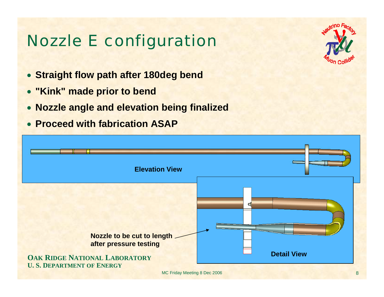# Nozzle E configuration

- **Straight flow path after 180deg bend**
- **"Kink" made prior to bend**
- **Nozzle angle and elevation being finalized**
- **Proceed with fabrication ASAP**



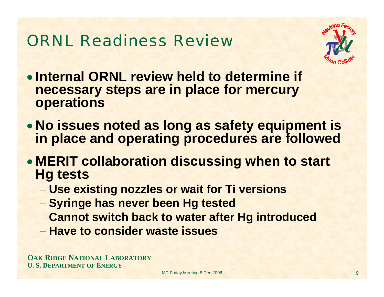# ORNL Readiness Review



- **Internal ORNL review held to determine if necessary steps are in place for mercury operations**
- **No issues noted as long as safety equipment is in place and operating procedures are followed**
- **MERIT collaboration discussing when to start Hg tests**
	- **Use existing nozzles or wait for Ti versions**
	- **Syringe has never been Hg tested**
	- **Cannot switch back to water after Hg introduced**
	- − **Have to consider waste issues**